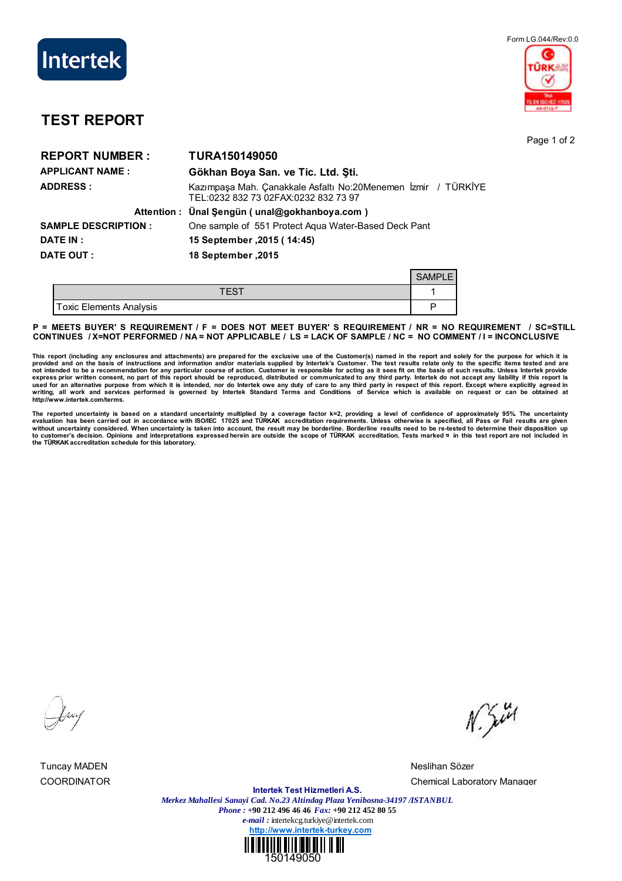

## Form LG.044/Rev:0.0 **DKAR**

## **TEST REPORT**

Page 1 of 2

| <b>REPORT NUMBER:</b>       | <b>TURA150149050</b>                                                                                  |
|-----------------------------|-------------------------------------------------------------------------------------------------------|
| <b>APPLICANT NAME:</b>      | Gökhan Boya San. ve Tic. Ltd. Sti.                                                                    |
| <b>ADDRESS:</b>             | Kazımpaşa Mah. Çanakkale Asfaltı No:20Menemen İzmir / TÜRKİYE<br>TEL:0232 832 73 02FAX:0232 832 73 97 |
|                             | Attention: Ünal Şengün (unal@gokhanboya.com)                                                          |
| <b>SAMPLE DESCRIPTION :</b> | One sample of 551 Protect Agua Water-Based Deck Pant                                                  |
| DATE IN :                   | 15 September, 2015 (14:45)                                                                            |
| DATE OUT :                  | 18 September .2015                                                                                    |
|                             | <b>SAMPLE</b>                                                                                         |

| ements Analysis<br>oxic Eler |  |
|------------------------------|--|

**P = MEETS BUYER' S REQUIREMENT / F = DOES NOT MEET BUYER' S REQUIREMENT / NR = NO REQUIREMENT / SC=STILL CONTINUES / X=NOT PERFORMED / NA = NOT APPLICABLE / LS = LACK OF SAMPLE / NC = NO COMMENT / I = INCONCLUSIVE**

This report (including any enclosures and attachments) are prepared for the exclusive use of the Customer(s) named in the report and solely for the purpose for which it is<br>provided and on the basis of instructions and info **writing, all work and services performed is governed by Intertek Standard Terms and Conditions of Service which is available on request or can be obtained at http://www.intertek.com/terms.**

The reported uncertainty is based on a standard uncertainty multiplied by a coverage factor k=2, providing a level of confidence of approximately 95%. The uncertainty<br>evaluation has been carried out in accordance with ISO without uncertainty considered. When uncertainty is taken into account, the result may be borderline. Borderline results need to be re-tested to determine their disposition up<br>to customer's decision. Opinions and interpret

Tuncay MADEN Neslihan Sözer

 $N_{2}$ 

COORDINATOR Chemical Laboratory Manager

**Intertek Test Hizmetleri A.S.** *Merkez Mahallesi Sanayi Cad. No.23 Altindag Plaza Yenibosna-34197 /ISTANBUL Phone : +***90 212 496 46 46** *Fax:* **+90 212 452 80 55** *e-mail :* intertekcg.turkiye@intertek.com **http://www.intertek-turkey.com**